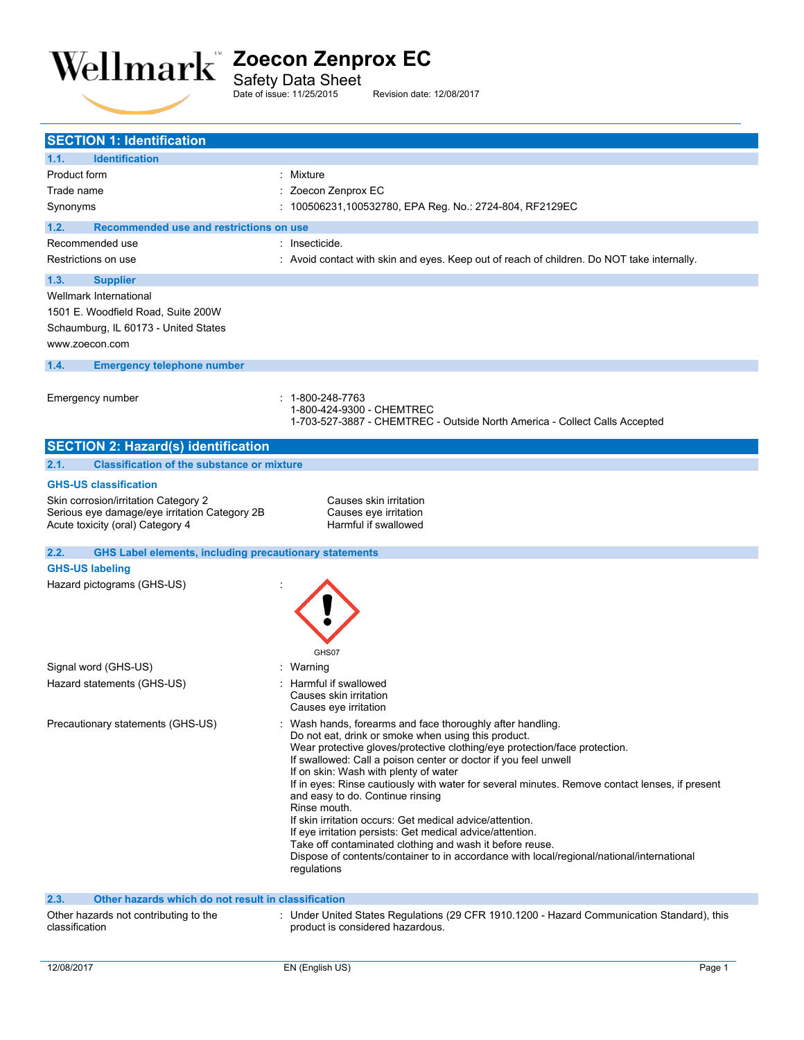

**SECTION 1: Identification**

**1.1. Identification**

Revision date: 12/08/2017

Safety Data Sheet<br>Date of issue: 11/25/2015

Product form **: Mixture** Trade name : Zoecon Zenprox EC Synonyms : 100506231,100532780, EPA Reg. No.: 2724-804, RF2129EC **1.2. Recommended use and restrictions on use** Recommended use interesting the commended use in the set of the set of the set of the set of the set of the set of the set of the set of the set of the set of the set of the set of the set of the set of the set of the set Restrictions on use **internally** : Avoid contact with skin and eyes. Keep out of reach of children. Do NOT take internally. **1.3. Supplier** Wellmark International 1501 E. Woodfield Road, Suite 200W Schaumburg, IL 60173 - United States www.zoecon.com **1.4. Emergency telephone number** Emergency number : 1-800-248-7763 1-800-424-9300 - CHEMTREC 1-703-527-3887 - CHEMTREC - Outside North America - Collect Calls Accepted **SECTION 2: Hazard(s) identification 2.1. Classification of the substance or mixture GHS-US classification** Skin corrosion/irritation Category 2 Causes skin irritation Serious eye damage/eye irritation Category 2B Causes eye irritation<br>Acute toxicity (oral) Category 4 Causes exercise of Harmful if swallowed Acute toxicity (oral) Category 4 **2.2. GHS Label elements, including precautionary statements GHS-US labeling** Hazard pictograms (GHS-US) : GHS07 Signal word (GHS-US) in the state of the Signal word (GHS-US) in the state of the Signal and Signal Signal and Signal and Signal Association of the Signal Association of the Signal Association of the Signal Association of Hazard statements (GHS-US) : Harmful if swallowed Causes skin irritation Causes eye irritation Precautionary statements (GHS-US) : Wash hands, forearms and face thoroughly after handling. Do not eat, drink or smoke when using this product. Wear protective gloves/protective clothing/eye protection/face protection. If swallowed: Call a poison center or doctor if you feel unwell If on skin: Wash with plenty of water If in eyes: Rinse cautiously with water for several minutes. Remove contact lenses, if present and easy to do. Continue rinsing Rinse mouth. If skin irritation occurs: Get medical advice/attention. If eye irritation persists: Get medical advice/attention. Take off contaminated clothing and wash it before reuse. Dispose of contents/container to in accordance with local/regional/national/international regulations **2.3. Other hazards which do not result in classification** Other hazards not contributing to the classification : Under United States Regulations (29 CFR 1910.1200 - Hazard Communication Standard), this product is considered hazardous.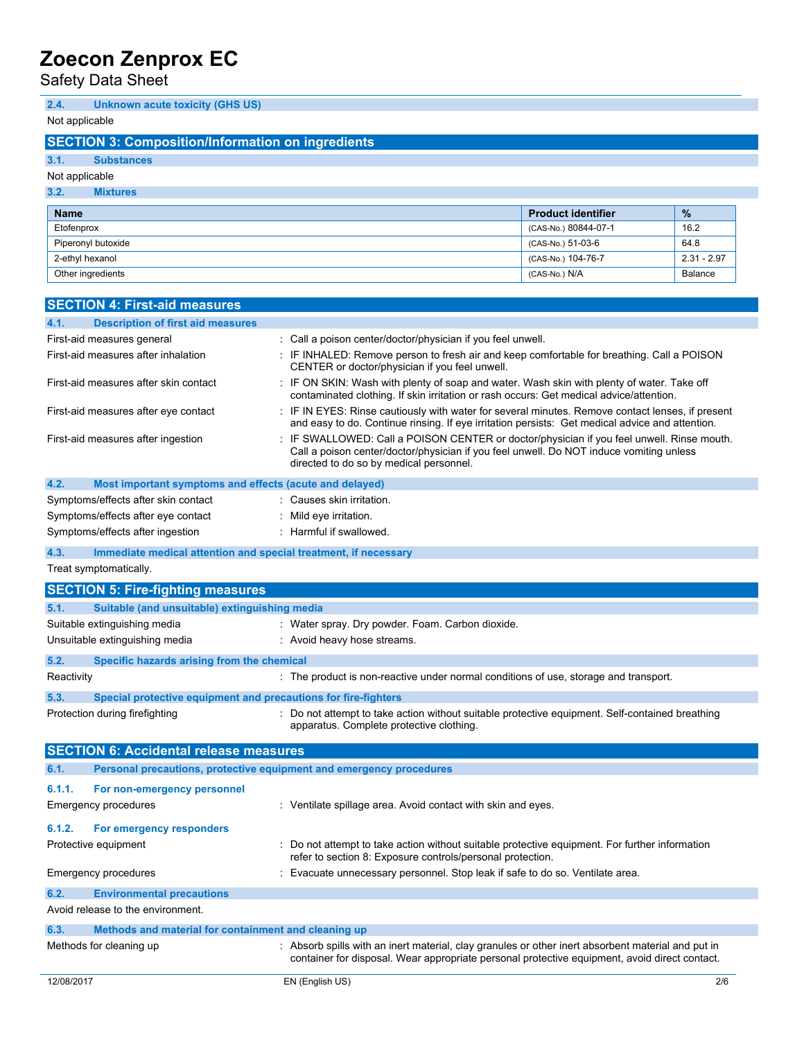Safety Data Sheet

# **2.4. Unknown acute toxicity (GHS US)**

Not applicable

# **SECTION 3: Composition/Information on ingredients**

## **3.1. Substances**

### Not applicable

### **3.2. Mixtures**

| <b>Name</b>        | <b>Product identifier</b> | $\frac{9}{6}$ |
|--------------------|---------------------------|---------------|
| Etofenprox         | (CAS-No.) 80844-07-1      | 16.2          |
| Piperonyl butoxide | (CAS-No.) 51-03-6         | 64.8          |
| 2-ethyl hexanol    | (CAS-No.) 104-76-7        | $2.31 - 2.97$ |
| Other ingredients  | (CAS-No.) N/A             | Balance       |

| <b>SECTION 4: First-aid measures</b>                                        |                                                                                                                                                                                                                                 |     |
|-----------------------------------------------------------------------------|---------------------------------------------------------------------------------------------------------------------------------------------------------------------------------------------------------------------------------|-----|
| <b>Description of first aid measures</b><br>4.1.                            |                                                                                                                                                                                                                                 |     |
| First-aid measures general                                                  | : Call a poison center/doctor/physician if you feel unwell.                                                                                                                                                                     |     |
| First-aid measures after inhalation                                         | : IF INHALED: Remove person to fresh air and keep comfortable for breathing. Call a POISON<br>CENTER or doctor/physician if you feel unwell.                                                                                    |     |
| First-aid measures after skin contact                                       | : IF ON SKIN: Wash with plenty of soap and water. Wash skin with plenty of water. Take off<br>contaminated clothing. If skin irritation or rash occurs: Get medical advice/attention.                                           |     |
| First-aid measures after eye contact                                        | : IF IN EYES: Rinse cautiously with water for several minutes. Remove contact lenses, if present<br>and easy to do. Continue rinsing. If eye irritation persists: Get medical advice and attention.                             |     |
| First-aid measures after ingestion                                          | : IF SWALLOWED: Call a POISON CENTER or doctor/physician if you feel unwell. Rinse mouth.<br>Call a poison center/doctor/physician if you feel unwell. Do NOT induce vomiting unless<br>directed to do so by medical personnel. |     |
| 4.2.<br>Most important symptoms and effects (acute and delayed)             |                                                                                                                                                                                                                                 |     |
| Symptoms/effects after skin contact                                         | : Causes skin irritation.                                                                                                                                                                                                       |     |
| Symptoms/effects after eye contact                                          | : Mild eye irritation.                                                                                                                                                                                                          |     |
| Symptoms/effects after ingestion                                            | : Harmful if swallowed.                                                                                                                                                                                                         |     |
| 4.3.<br>Immediate medical attention and special treatment, if necessary     |                                                                                                                                                                                                                                 |     |
| Treat symptomatically.                                                      |                                                                                                                                                                                                                                 |     |
|                                                                             |                                                                                                                                                                                                                                 |     |
| <b>SECTION 5: Fire-fighting measures</b>                                    |                                                                                                                                                                                                                                 |     |
| Suitable (and unsuitable) extinguishing media<br>5.1.                       |                                                                                                                                                                                                                                 |     |
| Suitable extinguishing media                                                | : Water spray. Dry powder. Foam. Carbon dioxide.                                                                                                                                                                                |     |
| Unsuitable extinguishing media                                              | : Avoid heavy hose streams.                                                                                                                                                                                                     |     |
| 5.2.<br>Specific hazards arising from the chemical                          |                                                                                                                                                                                                                                 |     |
| Reactivity                                                                  | : The product is non-reactive under normal conditions of use, storage and transport.                                                                                                                                            |     |
| 5.3.<br>Special protective equipment and precautions for fire-fighters      |                                                                                                                                                                                                                                 |     |
| Protection during firefighting                                              | : Do not attempt to take action without suitable protective equipment. Self-contained breathing<br>apparatus. Complete protective clothing.                                                                                     |     |
| <b>SECTION 6: Accidental release measures</b>                               |                                                                                                                                                                                                                                 |     |
| Personal precautions, protective equipment and emergency procedures<br>6.1. |                                                                                                                                                                                                                                 |     |
| 6.1.1.<br>For non-emergency personnel                                       |                                                                                                                                                                                                                                 |     |
| Emergency procedures                                                        | : Ventilate spillage area. Avoid contact with skin and eyes.                                                                                                                                                                    |     |
|                                                                             |                                                                                                                                                                                                                                 |     |
| 6.1.2.<br>For emergency responders                                          |                                                                                                                                                                                                                                 |     |
| Protective equipment                                                        | : Do not attempt to take action without suitable protective equipment. For further information<br>refer to section 8: Exposure controls/personal protection.                                                                    |     |
| Emergency procedures                                                        | : Evacuate unnecessary personnel. Stop leak if safe to do so. Ventilate area.                                                                                                                                                   |     |
| 6.2.<br><b>Environmental precautions</b>                                    |                                                                                                                                                                                                                                 |     |
| Avoid release to the environment.                                           |                                                                                                                                                                                                                                 |     |
| 6.3.<br>Methods and material for containment and cleaning up                |                                                                                                                                                                                                                                 |     |
| Methods for cleaning up                                                     | : Absorb spills with an inert material, clay granules or other inert absorbent material and put in                                                                                                                              |     |
|                                                                             | container for disposal. Wear appropriate personal protective equipment, avoid direct contact.                                                                                                                                   |     |
| 12/08/2017                                                                  | EN (English US)                                                                                                                                                                                                                 | 2/6 |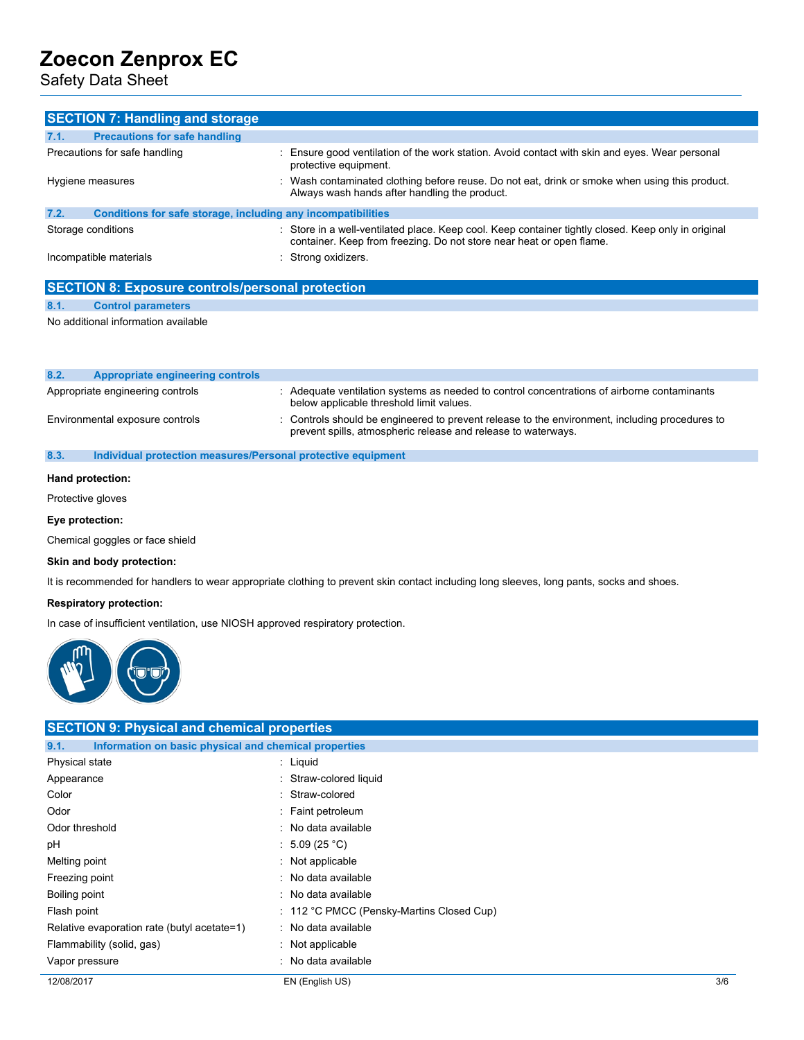Safety Data Sheet

|                               | <b>SECTION 7: Handling and storage</b>                       |                                                                                                                                                                             |
|-------------------------------|--------------------------------------------------------------|-----------------------------------------------------------------------------------------------------------------------------------------------------------------------------|
| 7.1.                          | <b>Precautions for safe handling</b>                         |                                                                                                                                                                             |
| Precautions for safe handling |                                                              | : Ensure good ventilation of the work station. Avoid contact with skin and eyes. Wear personal<br>protective equipment.                                                     |
|                               | Hygiene measures                                             | : Wash contaminated clothing before reuse. Do not eat, drink or smoke when using this product.<br>Always wash hands after handling the product.                             |
| 7.2.                          | Conditions for safe storage, including any incompatibilities |                                                                                                                                                                             |
|                               | Storage conditions                                           | : Store in a well-ventilated place. Keep cool. Keep container tightly closed. Keep only in original<br>container. Keep from freezing. Do not store near heat or open flame. |
| Incompatible materials        |                                                              | : Strong oxidizers.                                                                                                                                                         |

|      | <b>SECTION 8: Exposure controls/personal protection</b> |
|------|---------------------------------------------------------|
| 8.1. | <b>Control parameters</b>                               |
|      | No additional information available                     |
|      |                                                         |

| 8.2. | Appropriate engineering controls |                                                                                                                                                                 |
|------|----------------------------------|-----------------------------------------------------------------------------------------------------------------------------------------------------------------|
|      | Appropriate engineering controls | Adequate ventilation systems as needed to control concentrations of airborne contaminants<br>below applicable threshold limit values.                           |
|      | Environmental exposure controls  | : Controls should be engineered to prevent release to the environment, including procedures to<br>prevent spills, atmospheric release and release to waterways. |

#### **8.3. Individual protection measures/Personal protective equipment**

#### **Hand protection:**

Protective gloves

### **Eye protection:**

Chemical goggles or face shield

#### **Skin and body protection:**

It is recommended for handlers to wear appropriate clothing to prevent skin contact including long sleeves, long pants, socks and shoes.

#### **Respiratory protection:**

In case of insufficient ventilation, use NIOSH approved respiratory protection.



| <b>SECTION 9: Physical and chemical properties</b>            |                                           |     |
|---------------------------------------------------------------|-------------------------------------------|-----|
| Information on basic physical and chemical properties<br>9.1. |                                           |     |
| Physical state                                                | : Liquid                                  |     |
| Appearance                                                    | : Straw-colored liquid                    |     |
| Color                                                         | : Straw-colored                           |     |
| Odor                                                          | : Faint petroleum                         |     |
| Odor threshold                                                | : No data available                       |     |
| рH                                                            | : 5.09 (25 °C)                            |     |
| Melting point                                                 | : Not applicable                          |     |
| Freezing point                                                | : No data available                       |     |
| Boiling point                                                 | : No data available                       |     |
| Flash point                                                   | : 112 °C PMCC (Pensky-Martins Closed Cup) |     |
| Relative evaporation rate (butyl acetate=1)                   | : No data available                       |     |
| Flammability (solid, gas)                                     | $:$ Not applicable                        |     |
| Vapor pressure                                                | : No data available                       |     |
| 12/08/2017                                                    | EN (English US)                           | 3/6 |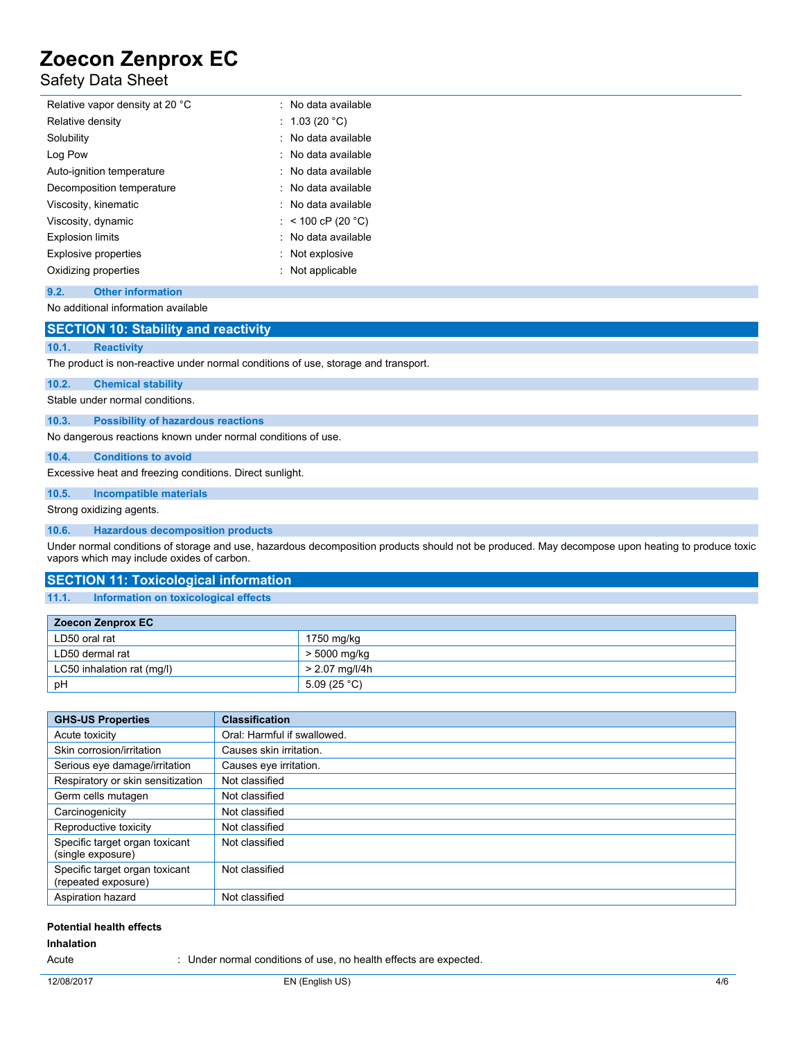## Safety Data Sheet

| Relative vapor density at 20 °C | . No data available |
|---------------------------------|---------------------|
| Relative density                | : 1.03 (20 °C)      |
| Solubility                      | : No data available |
| Log Pow                         | . No data available |
| Auto-ignition temperature       | : No data available |
| Decomposition temperature       | : No data available |
| Viscosity, kinematic            | . No data available |
| Viscosity, dynamic              | : < 100 cP (20 °C)  |
| <b>Explosion limits</b>         | · No data available |
| <b>Explosive properties</b>     | : Not explosive     |
| Oxidizing properties            | : Not applicable    |

#### **9.2. Other information**

No additional information available

#### **SECTION 10: Stability and reactivity**

#### **10.1. Reactivity**

The product is non-reactive under normal conditions of use, storage and transport.

#### **10.2. Chemical stability**

Stable under normal conditions.

#### **10.3. Possibility of hazardous reactions**

No dangerous reactions known under normal conditions of use.

#### **10.4. Conditions to avoid**

Excessive heat and freezing conditions. Direct sunlight.

## **10.5. Incompatible materials**

Strong oxidizing agents.

#### **10.6. Hazardous decomposition products**

Under normal conditions of storage and use, hazardous decomposition products should not be produced. May decompose upon heating to produce toxic vapors which may include oxides of carbon.

#### **SECTION 11: Toxicological information**

#### **11.1. Information on toxicological effects**

| Zoecon Zenprox EC          |                |  |  |
|----------------------------|----------------|--|--|
| LD50 oral rat              | 1750 mg/kg     |  |  |
| LD50 dermal rat            | > 5000 mg/kg   |  |  |
| LC50 inhalation rat (mg/l) | > 2.07 mg/l/4h |  |  |
| pH                         | 5.09 (25 °C)   |  |  |

| <b>GHS-US Properties</b>                              | <b>Classification</b>       |
|-------------------------------------------------------|-----------------------------|
| Acute toxicity                                        | Oral: Harmful if swallowed. |
| Skin corrosion/irritation                             | Causes skin irritation.     |
| Serious eye damage/irritation                         | Causes eye irritation.      |
| Respiratory or skin sensitization                     | Not classified              |
| Germ cells mutagen                                    | Not classified              |
| Carcinogenicity                                       | Not classified              |
| Reproductive toxicity                                 | Not classified              |
| Specific target organ toxicant<br>(single exposure)   | Not classified              |
| Specific target organ toxicant<br>(repeated exposure) | Not classified              |
| Aspiration hazard                                     | Not classified              |

## **Potential health effects**

### **Inhalation**

Acute : Under normal conditions of use, no health effects are expected.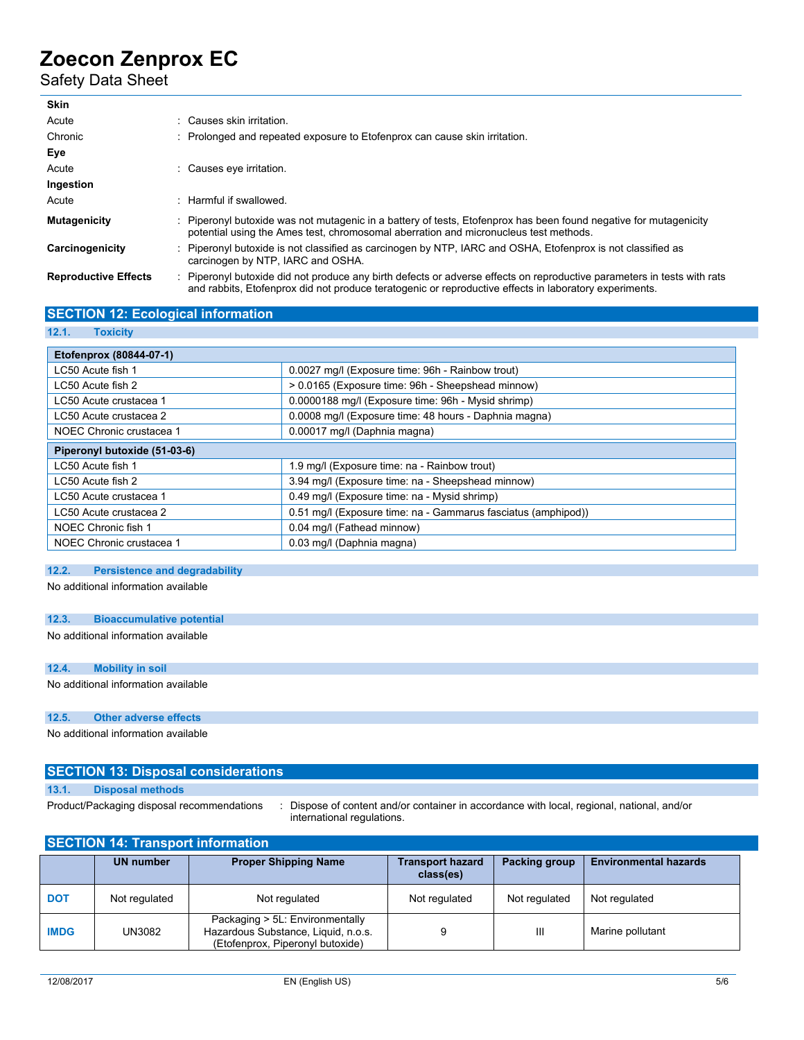# Safety Data Sheet

| <b>Skin</b>                 |                                                                                                                                                                                                                                   |
|-----------------------------|-----------------------------------------------------------------------------------------------------------------------------------------------------------------------------------------------------------------------------------|
| Acute                       | : Causes skin irritation.                                                                                                                                                                                                         |
| Chronic                     | : Prolonged and repeated exposure to Etofenprox can cause skin irritation.                                                                                                                                                        |
| Eye                         |                                                                                                                                                                                                                                   |
| Acute                       | : Causes eve irritation.                                                                                                                                                                                                          |
| Ingestion                   |                                                                                                                                                                                                                                   |
| Acute                       | : Harmful if swallowed.                                                                                                                                                                                                           |
| <b>Mutagenicity</b>         | : Piperonyl butoxide was not mutagenic in a battery of tests. Etofenprox has been found negative for mutagenicity<br>potential using the Ames test, chromosomal aberration and micronucleus test methods.                         |
| Carcinogenicity             | Piperonyl butoxide is not classified as carcinogen by NTP, IARC and OSHA, Etofenprox is not classified as<br>carcinogen by NTP, IARC and OSHA.                                                                                    |
| <b>Reproductive Effects</b> | : Piperonyl butoxide did not produce any birth defects or adverse effects on reproductive parameters in tests with rats<br>and rabbits. Etofenprox did not produce teratogenic or reproductive effects in laboratory experiments. |

## **SECTION 12: Ecological information**

**12.1. Toxicity**

| Etofenprox (80844-07-1)                                                |                                                               |  |
|------------------------------------------------------------------------|---------------------------------------------------------------|--|
| 0.0027 mg/l (Exposure time: 96h - Rainbow trout)<br>LC50 Acute fish 1  |                                                               |  |
| LC50 Acute fish 2                                                      | > 0.0165 (Exposure time: 96h - Sheepshead minnow)             |  |
| LC50 Acute crustacea 1                                                 | 0.0000188 mg/l (Exposure time: 96h - Mysid shrimp)            |  |
| LC50 Acute crustacea 2                                                 | 0.0008 mg/l (Exposure time: 48 hours - Daphnia magna)         |  |
| NOEC Chronic crustacea 1                                               | 0.00017 mg/l (Daphnia magna)                                  |  |
| Piperonyl butoxide (51-03-6)                                           |                                                               |  |
| LC50 Acute fish 1                                                      | 1.9 mg/l (Exposure time: na - Rainbow trout)                  |  |
| 3.94 mg/l (Exposure time: na - Sheepshead minnow)<br>LC50 Acute fish 2 |                                                               |  |
| LC50 Acute crustacea 1                                                 | 0.49 mg/l (Exposure time: na - Mysid shrimp)                  |  |
| LC50 Acute crustacea 2                                                 | 0.51 mg/l (Exposure time: na - Gammarus fasciatus (amphipod)) |  |
| NOEC Chronic fish 1                                                    | 0.04 mg/l (Fathead minnow)                                    |  |
| NOEC Chronic crustacea 1                                               | 0.03 mg/l (Daphnia magna)                                     |  |

### **12.2. Persistence and degradability**

No additional information available

#### **12.3. Bioaccumulative potential**

No additional information available

#### **12.4. Mobility in soil**

No additional information available

#### **12.5. Other adverse effects**

No additional information available

#### **SECTION 13: Disposal considerations**

**13.1. Disposal methods**

Product/Packaging disposal recommendations : Dispose of content and/or container in accordance with local, regional, national, and/or international regulations.

| <b>SECTION 14: Transport information</b> |                  |                                                                                                            |                                      |               |                              |  |
|------------------------------------------|------------------|------------------------------------------------------------------------------------------------------------|--------------------------------------|---------------|------------------------------|--|
|                                          | <b>UN number</b> | <b>Proper Shipping Name</b>                                                                                | <b>Transport hazard</b><br>class(es) | Packing group | <b>Environmental hazards</b> |  |
| <b>DOT</b>                               | Not regulated    | Not regulated                                                                                              | Not regulated                        | Not regulated | Not regulated                |  |
| <b>IMDG</b>                              | UN3082           | Packaging > 5L: Environmentally<br>Hazardous Substance, Liquid, n.o.s.<br>(Etofenprox, Piperonyl butoxide) | 9                                    | Ш             | Marine pollutant             |  |